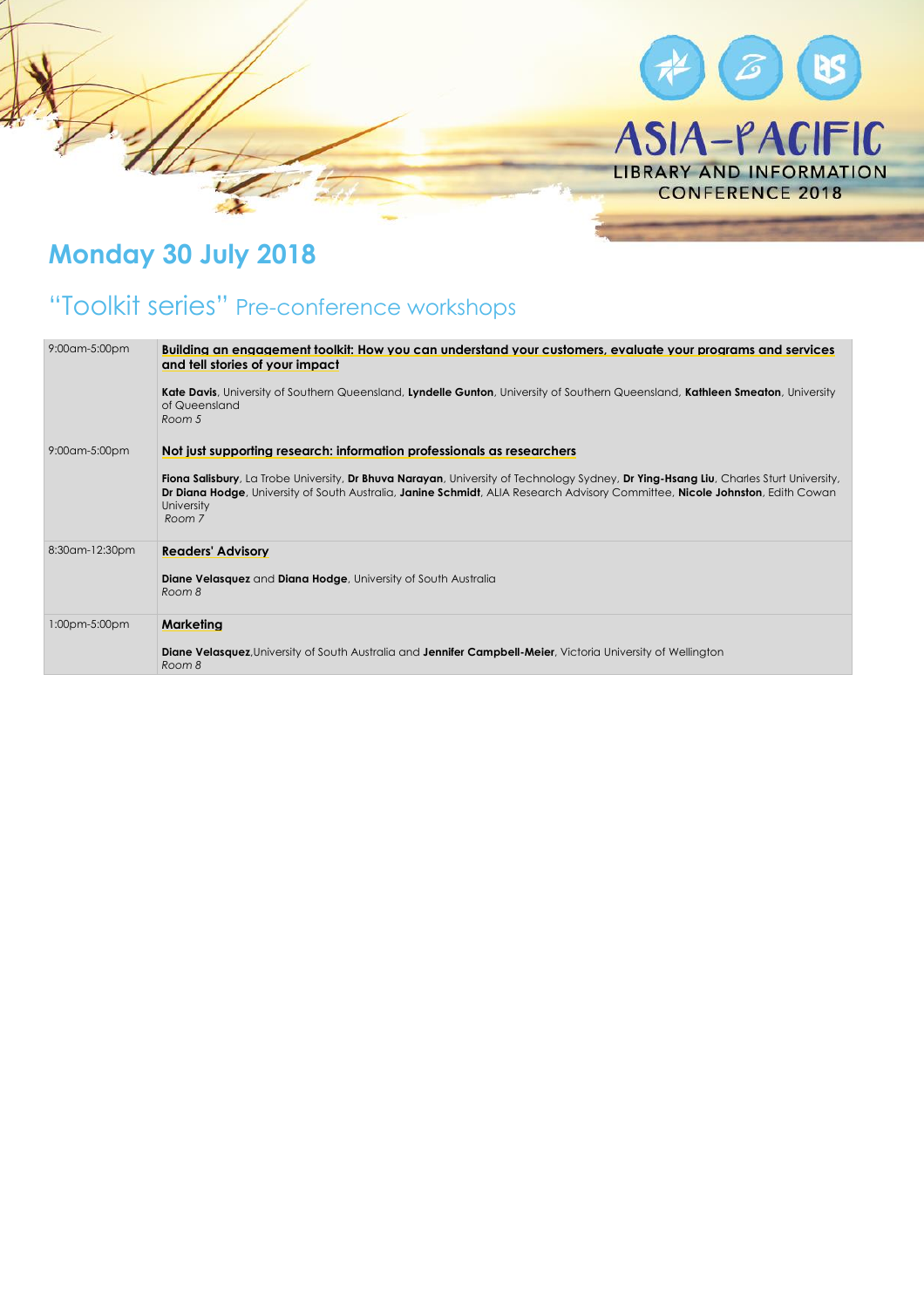

## **Monday 30 July 2018**

## "Toolkit series" Pre-conference workshops

| 9:00am-5:00pm  | Building an engagement toolkit: How you can understand your customers, evaluate your programs and services<br>and tell stories of your impact<br>Kate Davis, University of Southern Queensland, Lyndelle Gunton, University of Southern Queensland, Kathleen Smeaton, University<br>of Queensland<br>Room 5                                      |
|----------------|--------------------------------------------------------------------------------------------------------------------------------------------------------------------------------------------------------------------------------------------------------------------------------------------------------------------------------------------------|
| 9:00am-5:00pm  | Not just supporting research: information professionals as researchers<br>Fiona Salisbury, La Trobe University, Dr Bhuva Narayan, University of Technology Sydney, Dr Ying-Hsang Liu, Charles Sturt University,<br>Dr Diana Hodge, University of South Australia, Janine Schmidt, ALIA Research Advisory Committee, Nicole Johnston, Edith Cowan |
|                | University<br>Room 7                                                                                                                                                                                                                                                                                                                             |
| 8:30am-12:30pm | <b>Readers' Advisory</b><br><b>Diane Velasquez</b> and <b>Diana Hodge</b> , University of South Australia<br>Room 8                                                                                                                                                                                                                              |
| 1:00pm-5:00pm  | Marketina                                                                                                                                                                                                                                                                                                                                        |
|                | <b>Diane Velasquez</b> , University of South Australia and Jennifer Campbell-Meier, Victoria University of Wellington<br>Room 8                                                                                                                                                                                                                  |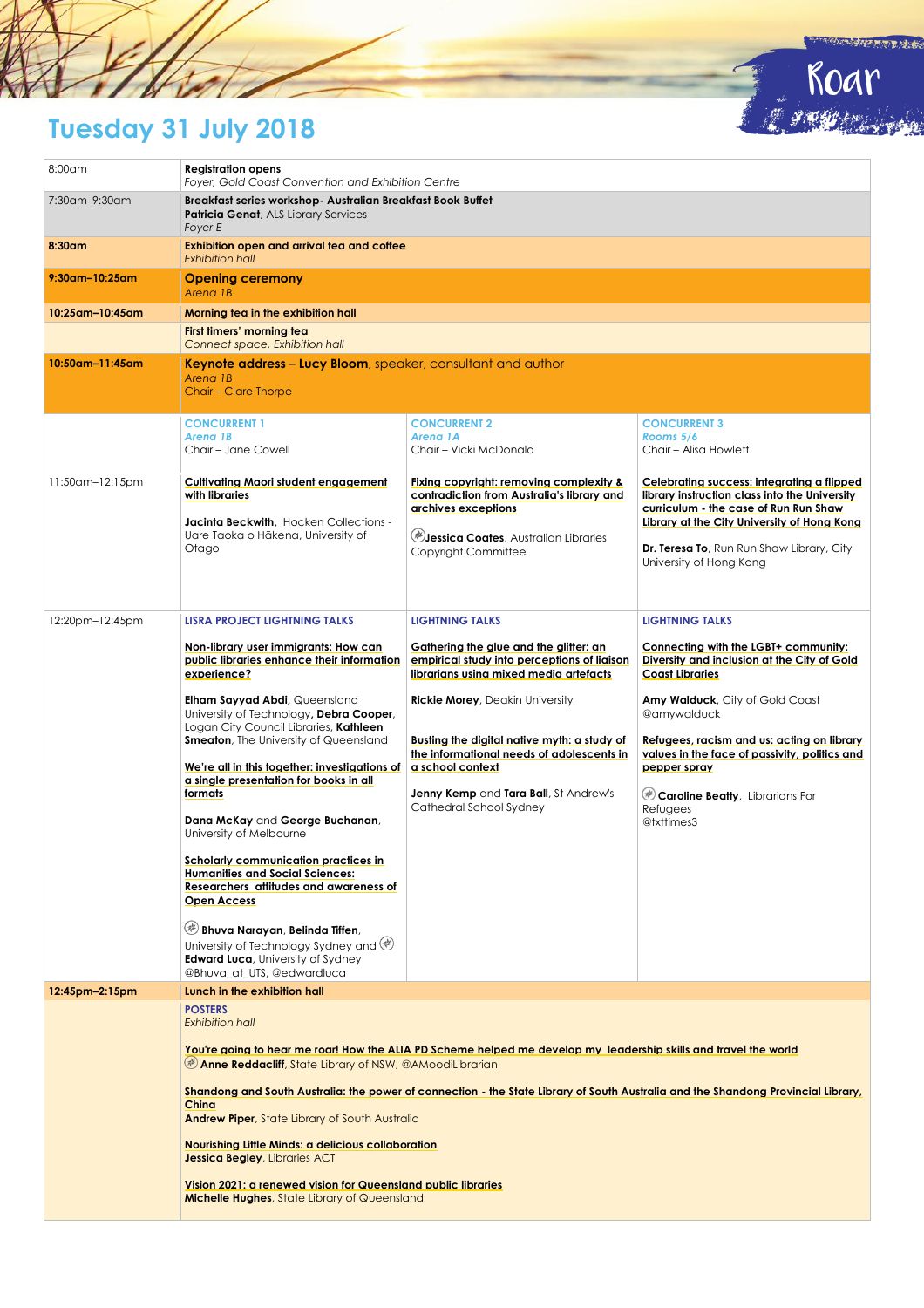# **Tuesday 31 July 2018**

| 8:00am             | <b>Registration opens</b><br>Foyer, Gold Coast Convention and Exhibition Centre                                                                                                                                          |                                                                                                                                                                                     |                                                                                                                                                                                                                                                             |
|--------------------|--------------------------------------------------------------------------------------------------------------------------------------------------------------------------------------------------------------------------|-------------------------------------------------------------------------------------------------------------------------------------------------------------------------------------|-------------------------------------------------------------------------------------------------------------------------------------------------------------------------------------------------------------------------------------------------------------|
| 7:30am-9:30am      | Breakfast series workshop- Australian Breakfast Book Buffet<br>Patricia Genat, ALS Library Services<br>Foyer E                                                                                                           |                                                                                                                                                                                     |                                                                                                                                                                                                                                                             |
| 8:30am             | Exhibition open and arrival tea and coffee<br><b>Exhibition hall</b>                                                                                                                                                     |                                                                                                                                                                                     |                                                                                                                                                                                                                                                             |
| $9:30$ am-10:25am  | <b>Opening ceremony</b><br>Arena 1B                                                                                                                                                                                      |                                                                                                                                                                                     |                                                                                                                                                                                                                                                             |
| 10:25am-10:45am    | Morning tea in the exhibition hall                                                                                                                                                                                       |                                                                                                                                                                                     |                                                                                                                                                                                                                                                             |
|                    | First timers' morning tea<br>Connect space, Exhibition hall                                                                                                                                                              |                                                                                                                                                                                     |                                                                                                                                                                                                                                                             |
| $10:50$ am-11:45am | Keynote address - Lucy Bloom, speaker, consultant and author                                                                                                                                                             |                                                                                                                                                                                     |                                                                                                                                                                                                                                                             |
|                    | Arena 1B<br>Chair - Clare Thorpe                                                                                                                                                                                         |                                                                                                                                                                                     |                                                                                                                                                                                                                                                             |
|                    | <b>CONCURRENT 1</b>                                                                                                                                                                                                      | <b>CONCURRENT 2</b>                                                                                                                                                                 | <b>CONCURRENT 3</b>                                                                                                                                                                                                                                         |
|                    | Arena 1B                                                                                                                                                                                                                 | Arena 1A                                                                                                                                                                            | Rooms 5/6                                                                                                                                                                                                                                                   |
|                    | Chair - Jane Cowell                                                                                                                                                                                                      | Chair – Vicki McDonald                                                                                                                                                              | Chair - Alisa Howlett                                                                                                                                                                                                                                       |
| 11:50am-12:15pm    | Cultivating Maori student engagement<br>with libraries<br>Jacinta Beckwith, Hocken Collections -<br>Uare Taoka o Hākena, University of<br>Otago                                                                          | Fixing copyright: removing complexity &<br>contradiction from Australia's library and<br>archives exceptions<br><b>Jessica Coates</b> , Australian Libraries<br>Copyright Committee | Celebrating success: integrating a flipped<br>library instruction class into the University<br>curriculum - the case of Run Run Shaw<br>Library at the City University of Hong Kong<br>Dr. Teresa To, Run Run Shaw Library, City<br>University of Hong Kong |
|                    |                                                                                                                                                                                                                          |                                                                                                                                                                                     |                                                                                                                                                                                                                                                             |
| 12:20pm-12:45pm    | LISRA PROJECT LIGHTNING TALKS                                                                                                                                                                                            | <b>LIGHTNING TALKS</b>                                                                                                                                                              | <b>LIGHTNING TALKS</b>                                                                                                                                                                                                                                      |
|                    | Non-library user immigrants: How can<br>public libraries enhance their information<br>experience?                                                                                                                        | Gathering the glue and the glitter: an<br>empirical study into perceptions of liaison<br>librarians using mixed media artefacts                                                     | Connecting with the LGBT+ community:<br>Diversity and inclusion at the City of Gold<br><b>Coast Libraries</b>                                                                                                                                               |
|                    | Elham Sayyad Abdi, Queensland<br>University of Technology, Debra Cooper,<br>Logan City Council Libraries, Kathleen                                                                                                       | <b>Rickie Morey, Deakin University</b>                                                                                                                                              | Amy Walduck, City of Gold Coast<br>@amywalduck                                                                                                                                                                                                              |
|                    | Smeaton, The University of Queensland                                                                                                                                                                                    | Busting the digital native myth: a study of                                                                                                                                         | Refugees, racism and us: acting on library                                                                                                                                                                                                                  |
|                    | We're all in this together: investigations of $\vert$ a school context                                                                                                                                                   | the informational needs of adolescents in                                                                                                                                           | values in the face of passivity, politics and<br>pepper spray                                                                                                                                                                                               |
|                    | a single presentation for books in all                                                                                                                                                                                   |                                                                                                                                                                                     |                                                                                                                                                                                                                                                             |
|                    | formats                                                                                                                                                                                                                  | <b>Jenny Kemp</b> and Tara Ball, St Andrew's<br>Cathedral School Sydney                                                                                                             | Caroline Beatty, Librarians For                                                                                                                                                                                                                             |
|                    | Dana McKay and George Buchanan,<br>University of Melbourne                                                                                                                                                               |                                                                                                                                                                                     | Refugees<br>@txttimes3                                                                                                                                                                                                                                      |
|                    | Scholarly communication practices in                                                                                                                                                                                     |                                                                                                                                                                                     |                                                                                                                                                                                                                                                             |
|                    | <b>Humanities and Social Sciences:</b>                                                                                                                                                                                   |                                                                                                                                                                                     |                                                                                                                                                                                                                                                             |
|                    | Researchers attitudes and awareness of<br>Open Access                                                                                                                                                                    |                                                                                                                                                                                     |                                                                                                                                                                                                                                                             |
|                    | Bhuva Narayan, Belinda Tiffen,                                                                                                                                                                                           |                                                                                                                                                                                     |                                                                                                                                                                                                                                                             |
|                    | University of Technology Sydney and $\circledast$                                                                                                                                                                        |                                                                                                                                                                                     |                                                                                                                                                                                                                                                             |
|                    | <b>Edward Luca</b> , University of Sydney                                                                                                                                                                                |                                                                                                                                                                                     |                                                                                                                                                                                                                                                             |
|                    | @Bhuva at UTS, @edwardluca                                                                                                                                                                                               |                                                                                                                                                                                     |                                                                                                                                                                                                                                                             |
| 12:45pm-2:15pm     | Lunch in the exhibition hall                                                                                                                                                                                             |                                                                                                                                                                                     |                                                                                                                                                                                                                                                             |
|                    | <b>POSTERS</b><br><b>Exhibition hall</b>                                                                                                                                                                                 | You're going to hear me roar! How the ALIA PD Scheme helped me develop my leadership skills and travel the world                                                                    |                                                                                                                                                                                                                                                             |
|                    | <b>Demonstral Anne Reddacliff</b> , State Library of NSW, @AMoodiLibrarian<br>Shandong and South Australia: the power of connection - the State Library of South Australia and the Shandong Provincial Library,<br>China |                                                                                                                                                                                     |                                                                                                                                                                                                                                                             |
|                    | <b>Andrew Piper, State Library of South Australia</b>                                                                                                                                                                    |                                                                                                                                                                                     |                                                                                                                                                                                                                                                             |
|                    | Nourishing Little Minds: a delicious collaboration<br><b>Jessica Begley, Libraries ACT</b>                                                                                                                               |                                                                                                                                                                                     |                                                                                                                                                                                                                                                             |
|                    | Vision 2021: a renewed vision for Queensland public libraries<br><b>Michelle Hughes, State Library of Queensland</b>                                                                                                     |                                                                                                                                                                                     |                                                                                                                                                                                                                                                             |

**MASHER TRANCE** 

Roar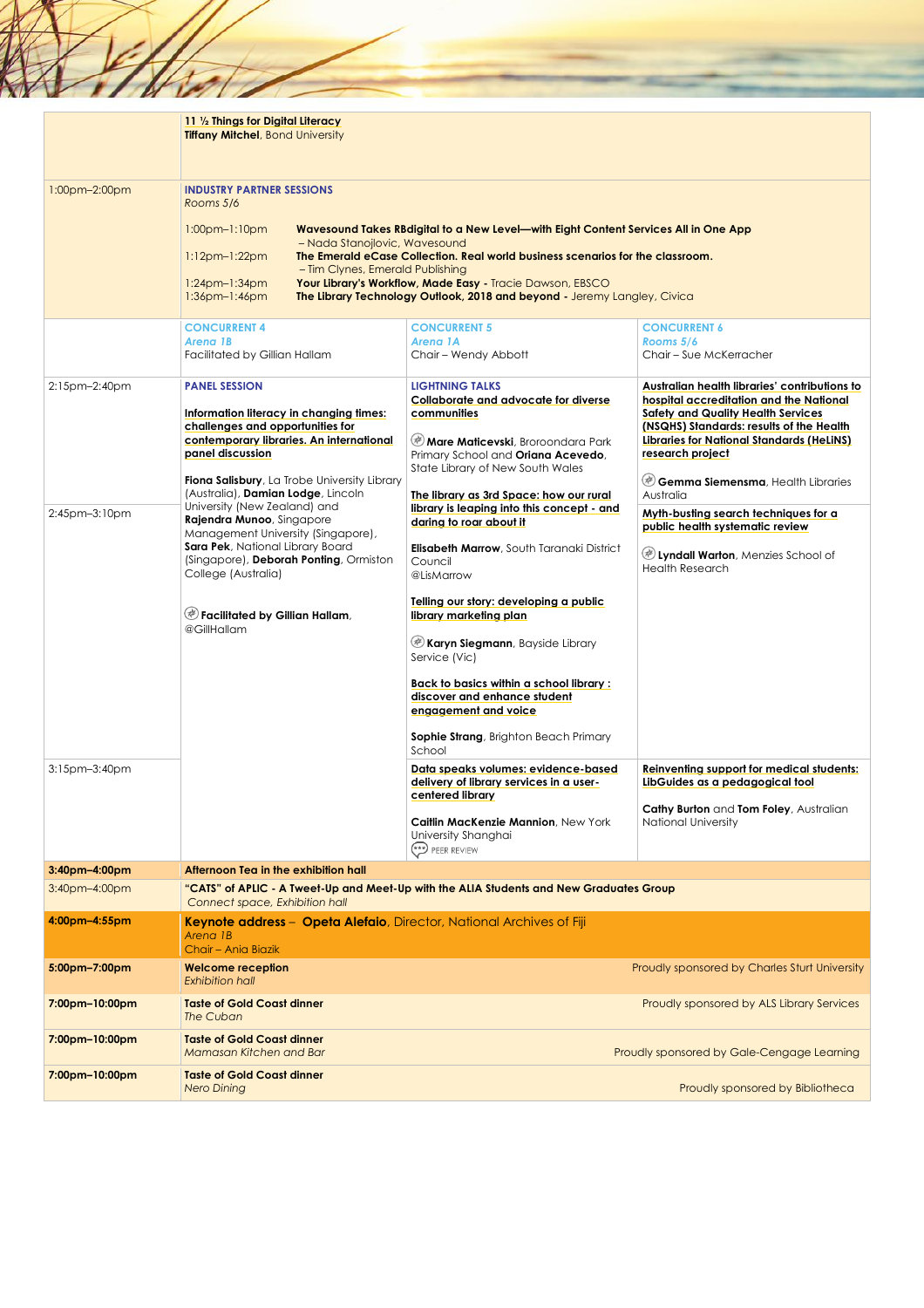|                                                 | 11 1/2 Things for Digital Literacy<br><b>Tiffany Mitchel, Bond University</b>                                                                                                                                                                                                                                                                                                                                                                                                                                                   |                                                                                                                                                                                                                                                                                                                                                                                                                                                                                                                                                                                                                                                                                                                                                                                                                                  |                                                                                                                                                                                                                                                                                                                                                                                                                                                                                                                                                                                                               |
|-------------------------------------------------|---------------------------------------------------------------------------------------------------------------------------------------------------------------------------------------------------------------------------------------------------------------------------------------------------------------------------------------------------------------------------------------------------------------------------------------------------------------------------------------------------------------------------------|----------------------------------------------------------------------------------------------------------------------------------------------------------------------------------------------------------------------------------------------------------------------------------------------------------------------------------------------------------------------------------------------------------------------------------------------------------------------------------------------------------------------------------------------------------------------------------------------------------------------------------------------------------------------------------------------------------------------------------------------------------------------------------------------------------------------------------|---------------------------------------------------------------------------------------------------------------------------------------------------------------------------------------------------------------------------------------------------------------------------------------------------------------------------------------------------------------------------------------------------------------------------------------------------------------------------------------------------------------------------------------------------------------------------------------------------------------|
| 1:00pm-2:00pm                                   | <b>INDUSTRY PARTNER SESSIONS</b><br>Rooms 5/6<br>$1:00$ pm $-1:10$ pm<br>- Nada Stanojlovic, Wavesound<br>$1:12pm-1:22pm$<br>- Tim Clynes, Emerald Publishing<br>$1:24pm-1:34pm$<br>$1:36$ pm- $1:46$ pm                                                                                                                                                                                                                                                                                                                        | Wavesound Takes RBdigital to a New Level—with Eight Content Services All in One App<br>The Emerald eCase Collection. Real world business scenarios for the classroom.<br>Your Library's Workflow, Made Easy - Tracie Dawson, EBSCO<br>The Library Technology Outlook, 2018 and beyond - Jeremy Langley, Civica                                                                                                                                                                                                                                                                                                                                                                                                                                                                                                                   |                                                                                                                                                                                                                                                                                                                                                                                                                                                                                                                                                                                                               |
|                                                 | <b>CONCURRENT 4</b>                                                                                                                                                                                                                                                                                                                                                                                                                                                                                                             | <b>CONCURRENT 5</b>                                                                                                                                                                                                                                                                                                                                                                                                                                                                                                                                                                                                                                                                                                                                                                                                              | <b>CONCURRENT 6</b>                                                                                                                                                                                                                                                                                                                                                                                                                                                                                                                                                                                           |
|                                                 | Arena 1B<br>Facilitated by Gillian Hallam                                                                                                                                                                                                                                                                                                                                                                                                                                                                                       | Arena 1A<br>Chair - Wendy Abbott                                                                                                                                                                                                                                                                                                                                                                                                                                                                                                                                                                                                                                                                                                                                                                                                 | Rooms 5/6<br>Chair - Sue McKerracher                                                                                                                                                                                                                                                                                                                                                                                                                                                                                                                                                                          |
| 2:15pm-2:40pm<br>2:45pm-3:10pm<br>3:15pm-3:40pm | <b>PANEL SESSION</b><br>Information literacy in changing times:<br>challenges and opportunities for<br>contemporary libraries. An international<br>panel discussion<br>Fiona Salisbury, La Trobe University Library<br>(Australia), Damian Lodge, Lincoln<br>University (New Zealand) and<br>Rajendra Munoo, Singapore<br>Management University (Singapore),<br>Sara Pek, National Library Board<br>(Singapore), Deborah Ponting, Ormiston<br>College (Australia)<br>$\mathcal O$ Facilitated by Gillian Hallam,<br>@GillHallam | <b>LIGHTNING TALKS</b><br>Collaborate and advocate for diverse<br>communities<br>Mare Maticevski, Broroondara Park<br>Primary School and Oriana Acevedo,<br>State Library of New South Wales<br>The library as 3rd Space: how our rural<br>library is leaping into this concept - and<br>daring to roar about it<br>Elisabeth Marrow, South Taranaki District<br>Council<br>@LisMarrow<br>Telling our story: developing a public<br>library marketing plan<br><b>Karyn Siegmann</b> , Bayside Library<br>Service (Vic)<br>Back to basics within a school library:<br>discover and enhance student<br>engagement and voice<br><b>Sophie Strang, Brighton Beach Primary</b><br>School<br>Data speaks volumes: evidence-based<br>delivery of library services in a user-<br>centered library<br>Caitlin MacKenzie Mannion, New York | Australian health libraries' contributions to<br>hospital accreditation and the National<br><b>Safety and Quality Health Services</b><br>(NSQHS) Standards: results of the Health<br>Libraries for National Standards (HeLiNS)<br>research project<br>Gemma Siemensma, Health Libraries<br>Australia<br>Myth-busting search techniques for a<br>public health systematic review<br>Uyndall Warton, Menzies School of<br><b>Health Research</b><br><b>Reinventing support for medical students:</b><br>LibGuides as a pedagogical tool<br>Cathy Burton and Tom Foley, Australian<br><b>National University</b> |
|                                                 |                                                                                                                                                                                                                                                                                                                                                                                                                                                                                                                                 | University Shanghai<br>PEER REVIEW                                                                                                                                                                                                                                                                                                                                                                                                                                                                                                                                                                                                                                                                                                                                                                                               |                                                                                                                                                                                                                                                                                                                                                                                                                                                                                                                                                                                                               |
| 3:40pm-4:00pm                                   | Afternoon Tea in the exhibition hall                                                                                                                                                                                                                                                                                                                                                                                                                                                                                            |                                                                                                                                                                                                                                                                                                                                                                                                                                                                                                                                                                                                                                                                                                                                                                                                                                  |                                                                                                                                                                                                                                                                                                                                                                                                                                                                                                                                                                                                               |
| 3:40pm-4:00pm                                   | Connect space, Exhibition hall                                                                                                                                                                                                                                                                                                                                                                                                                                                                                                  | "CATS" of APLIC - A Tweet-Up and Meet-Up with the ALIA Students and New Graduates Group                                                                                                                                                                                                                                                                                                                                                                                                                                                                                                                                                                                                                                                                                                                                          |                                                                                                                                                                                                                                                                                                                                                                                                                                                                                                                                                                                                               |
| 4:00pm-4:55pm                                   | Keynote address - Opeta Alefaio, Director, National Archives of Fiji<br>Arena 1B<br>Chair - Ania Biazik                                                                                                                                                                                                                                                                                                                                                                                                                         |                                                                                                                                                                                                                                                                                                                                                                                                                                                                                                                                                                                                                                                                                                                                                                                                                                  |                                                                                                                                                                                                                                                                                                                                                                                                                                                                                                                                                                                                               |
| 5:00pm-7:00pm                                   | <b>Welcome reception</b><br><b>Exhibition hall</b>                                                                                                                                                                                                                                                                                                                                                                                                                                                                              |                                                                                                                                                                                                                                                                                                                                                                                                                                                                                                                                                                                                                                                                                                                                                                                                                                  | Proudly sponsored by Charles Sturt University                                                                                                                                                                                                                                                                                                                                                                                                                                                                                                                                                                 |
| 7:00pm-10:00pm                                  | <b>Taste of Gold Coast dinner</b><br>The Cuban                                                                                                                                                                                                                                                                                                                                                                                                                                                                                  |                                                                                                                                                                                                                                                                                                                                                                                                                                                                                                                                                                                                                                                                                                                                                                                                                                  | Proudly sponsored by ALS Library Services                                                                                                                                                                                                                                                                                                                                                                                                                                                                                                                                                                     |
| 7:00pm-10:00pm                                  | <b>Taste of Gold Coast dinner</b><br>Mamasan Kitchen and Bar                                                                                                                                                                                                                                                                                                                                                                                                                                                                    |                                                                                                                                                                                                                                                                                                                                                                                                                                                                                                                                                                                                                                                                                                                                                                                                                                  | Proudly sponsored by Gale-Cengage Learning                                                                                                                                                                                                                                                                                                                                                                                                                                                                                                                                                                    |
| 7:00pm-10:00pm                                  | <b>Taste of Gold Coast dinner</b><br><b>Nero Dining</b>                                                                                                                                                                                                                                                                                                                                                                                                                                                                         |                                                                                                                                                                                                                                                                                                                                                                                                                                                                                                                                                                                                                                                                                                                                                                                                                                  | Proudly sponsored by Bibliotheca                                                                                                                                                                                                                                                                                                                                                                                                                                                                                                                                                                              |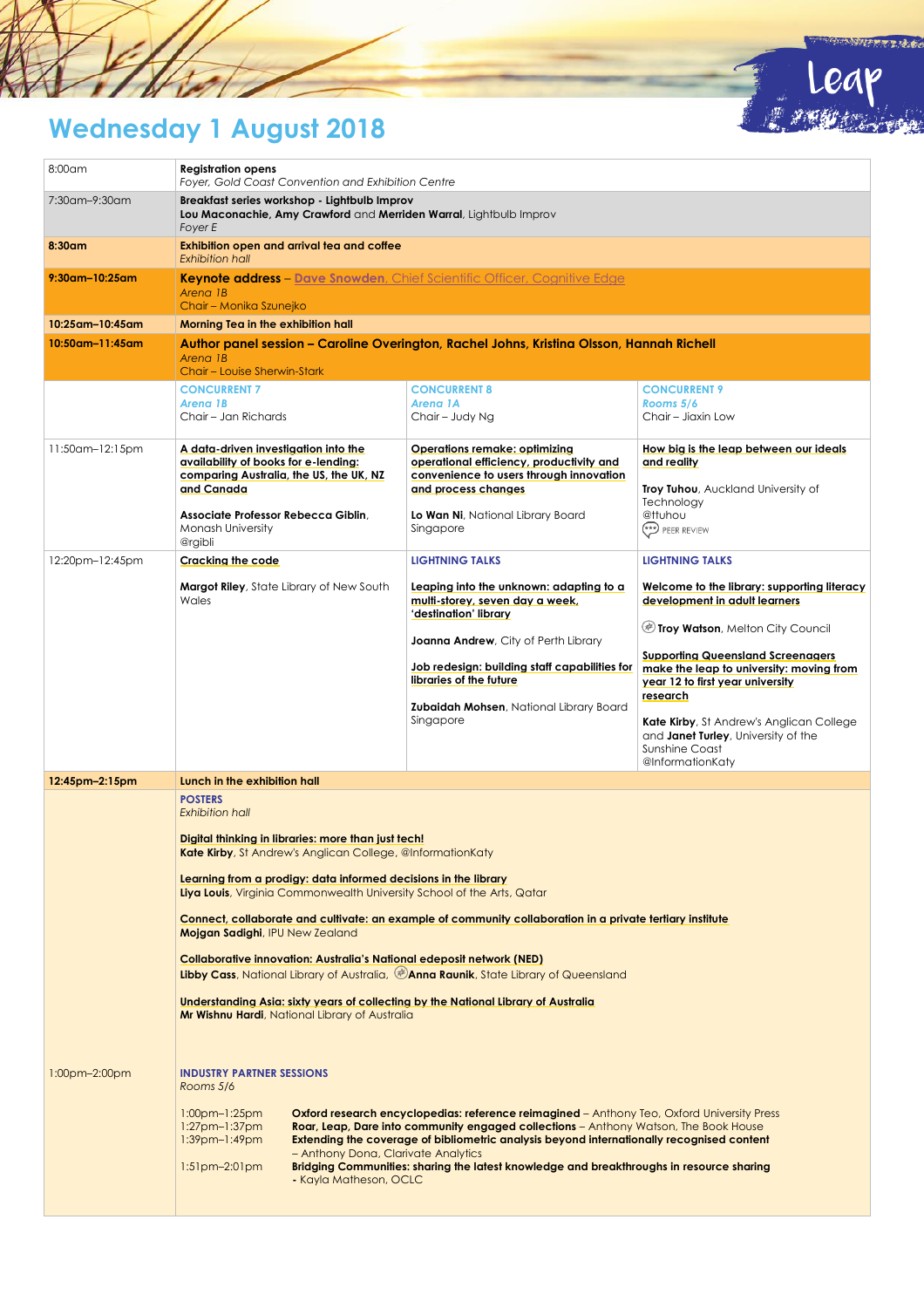

Leap

j



| 8:00am             | <b>Registration opens</b><br>Foyer, Gold Coast Convention and Exhibition Centre                                                                                                                                                                                                                                                                                                                                                                                                                                                                                                                                                                                                                                                                                                     |                                                                                                                                                                                                                                                                                                                                                                                           |                                                                                                                                   |
|--------------------|-------------------------------------------------------------------------------------------------------------------------------------------------------------------------------------------------------------------------------------------------------------------------------------------------------------------------------------------------------------------------------------------------------------------------------------------------------------------------------------------------------------------------------------------------------------------------------------------------------------------------------------------------------------------------------------------------------------------------------------------------------------------------------------|-------------------------------------------------------------------------------------------------------------------------------------------------------------------------------------------------------------------------------------------------------------------------------------------------------------------------------------------------------------------------------------------|-----------------------------------------------------------------------------------------------------------------------------------|
| 7:30am-9:30am      | Breakfast series workshop - Lightbulb Improv<br>Lou Maconachie, Amy Crawford and Merriden Warral, Lightbulb Improv<br>Foyer E                                                                                                                                                                                                                                                                                                                                                                                                                                                                                                                                                                                                                                                       |                                                                                                                                                                                                                                                                                                                                                                                           |                                                                                                                                   |
| 8:30am             | Exhibition open and arrival tea and coffee<br><b>Exhibition hall</b>                                                                                                                                                                                                                                                                                                                                                                                                                                                                                                                                                                                                                                                                                                                |                                                                                                                                                                                                                                                                                                                                                                                           |                                                                                                                                   |
| $9:30$ am-10:25am  | Keynote address - Dave Snowden, Chief Scientific Officer, Cognitive Edge<br>Arena 1B<br>Chair - Monika Szunejko                                                                                                                                                                                                                                                                                                                                                                                                                                                                                                                                                                                                                                                                     |                                                                                                                                                                                                                                                                                                                                                                                           |                                                                                                                                   |
| 10:25am-10:45am    | Morning Tea in the exhibition hall                                                                                                                                                                                                                                                                                                                                                                                                                                                                                                                                                                                                                                                                                                                                                  |                                                                                                                                                                                                                                                                                                                                                                                           |                                                                                                                                   |
| $10:50$ am-11:45am | Author panel session - Caroline Overington, Rachel Johns, Kristina Olsson, Hannah Richell<br>Arena 1B<br>Chair – Louise Sherwin-Stark                                                                                                                                                                                                                                                                                                                                                                                                                                                                                                                                                                                                                                               |                                                                                                                                                                                                                                                                                                                                                                                           |                                                                                                                                   |
|                    | <b>CONCURRENT 7</b><br>Arena 1B<br>Chair - Jan Richards                                                                                                                                                                                                                                                                                                                                                                                                                                                                                                                                                                                                                                                                                                                             | <b>CONCURRENT 8</b><br>Arena 1A<br>Chair - Judy Ng                                                                                                                                                                                                                                                                                                                                        | <b>CONCURRENT 9</b><br>Rooms 5/6<br>Chair - Jiaxin Low                                                                            |
| 11:50am-12:15pm    | A data-driven investigation into the<br>availability of books for e-lending:<br>comparing Australia, the US, the UK, NZ<br>and Canada                                                                                                                                                                                                                                                                                                                                                                                                                                                                                                                                                                                                                                               | <b>Operations remake: optimizing</b><br>operational efficiency, productivity and<br>convenience to users through innovation<br>and process changes                                                                                                                                                                                                                                        | How big is the leap between our ideals<br>and reality<br>Troy Tuhou, Auckland University of                                       |
|                    | Associate Professor Rebecca Giblin,<br>Monash University<br>@rgibli                                                                                                                                                                                                                                                                                                                                                                                                                                                                                                                                                                                                                                                                                                                 | Lo Wan Ni, National Library Board<br>Singapore                                                                                                                                                                                                                                                                                                                                            | Technology<br>@ttuhou<br>PEER REVIEW                                                                                              |
| 12:20pm-12:45pm    | Cracking the code                                                                                                                                                                                                                                                                                                                                                                                                                                                                                                                                                                                                                                                                                                                                                                   | <b>LIGHTNING TALKS</b>                                                                                                                                                                                                                                                                                                                                                                    | <b>LIGHTNING TALKS</b>                                                                                                            |
|                    | <b>Margot Riley</b> , State Library of New South<br>Wales                                                                                                                                                                                                                                                                                                                                                                                                                                                                                                                                                                                                                                                                                                                           | Leapina into the unknown: adaptina to a<br>multi-storey, seven day a week,<br>'destination' library                                                                                                                                                                                                                                                                                       | Welcome to the library: supporting literacy<br>development in adult learners                                                      |
|                    |                                                                                                                                                                                                                                                                                                                                                                                                                                                                                                                                                                                                                                                                                                                                                                                     | <b>Joanna Andrew</b> , City of Perth Library                                                                                                                                                                                                                                                                                                                                              | Troy Watson, Melton City Council                                                                                                  |
|                    |                                                                                                                                                                                                                                                                                                                                                                                                                                                                                                                                                                                                                                                                                                                                                                                     | Job redesign: building staff capabilities for<br>libraries of the future                                                                                                                                                                                                                                                                                                                  | <b>Supporting Queensland Screenagers</b><br>make the leap to university: moving from<br>year 12 to first year university          |
|                    |                                                                                                                                                                                                                                                                                                                                                                                                                                                                                                                                                                                                                                                                                                                                                                                     | <b>Zubaidah Mohsen, National Library Board</b><br>Singapore                                                                                                                                                                                                                                                                                                                               | research<br>Kate Kirby, St Andrew's Anglican College<br>and Janet Turley, University of the<br>Sunshine Coast<br>@InformationKaty |
| 12:45pm-2:15pm     | Lunch in the exhibition hall                                                                                                                                                                                                                                                                                                                                                                                                                                                                                                                                                                                                                                                                                                                                                        |                                                                                                                                                                                                                                                                                                                                                                                           |                                                                                                                                   |
|                    | <b>POSTERS</b><br><b>Exhibition hall</b><br>Digital thinking in libraries: more than just tech!<br>Kate Kirby, St Andrew's Anglican College, @InformationKaty<br>Learning from a prodigy: data informed decisions in the library<br>Liya Louis, Virginia Commonwealth University School of the Arts, Qatar<br>Connect, collaborate and cultivate: an example of community collaboration in a private tertiary institute<br>Mojgan Sadighi, IPU New Zealand<br><b>Collaborative innovation: Australia's National edeposit network (NED)</b><br><b>Libby Cass</b> , National Library of Australia, @ Anna Raunik, State Library of Queensland<br>Understanding Asia: sixty years of collecting by the National Library of Australia<br>Mr Wishnu Hardi, National Library of Australia |                                                                                                                                                                                                                                                                                                                                                                                           |                                                                                                                                   |
| 1:00pm-2:00pm      | <b>INDUSTRY PARTNER SESSIONS</b><br>Rooms 5/6<br>$1:00$ pm-1:25pm<br>$1:27$ pm-1:37pm<br>1:39pm-1:49pm<br>- Anthony Dona, Clarivate Analytics<br>$1:51$ pm $-2:01$ pm<br>- Kayla Matheson, OCLC                                                                                                                                                                                                                                                                                                                                                                                                                                                                                                                                                                                     | <b>Oxford research encyclopedias: reference reimagined</b> – Anthony Teo, Oxford University Press<br><b>Roar, Leap, Dare into community engaged collections</b> – Anthony Watson, The Book House<br>Extending the coverage of bibliometric analysis beyond internationally recognised content<br>Bridging Communities: sharing the latest knowledge and breakthroughs in resource sharing |                                                                                                                                   |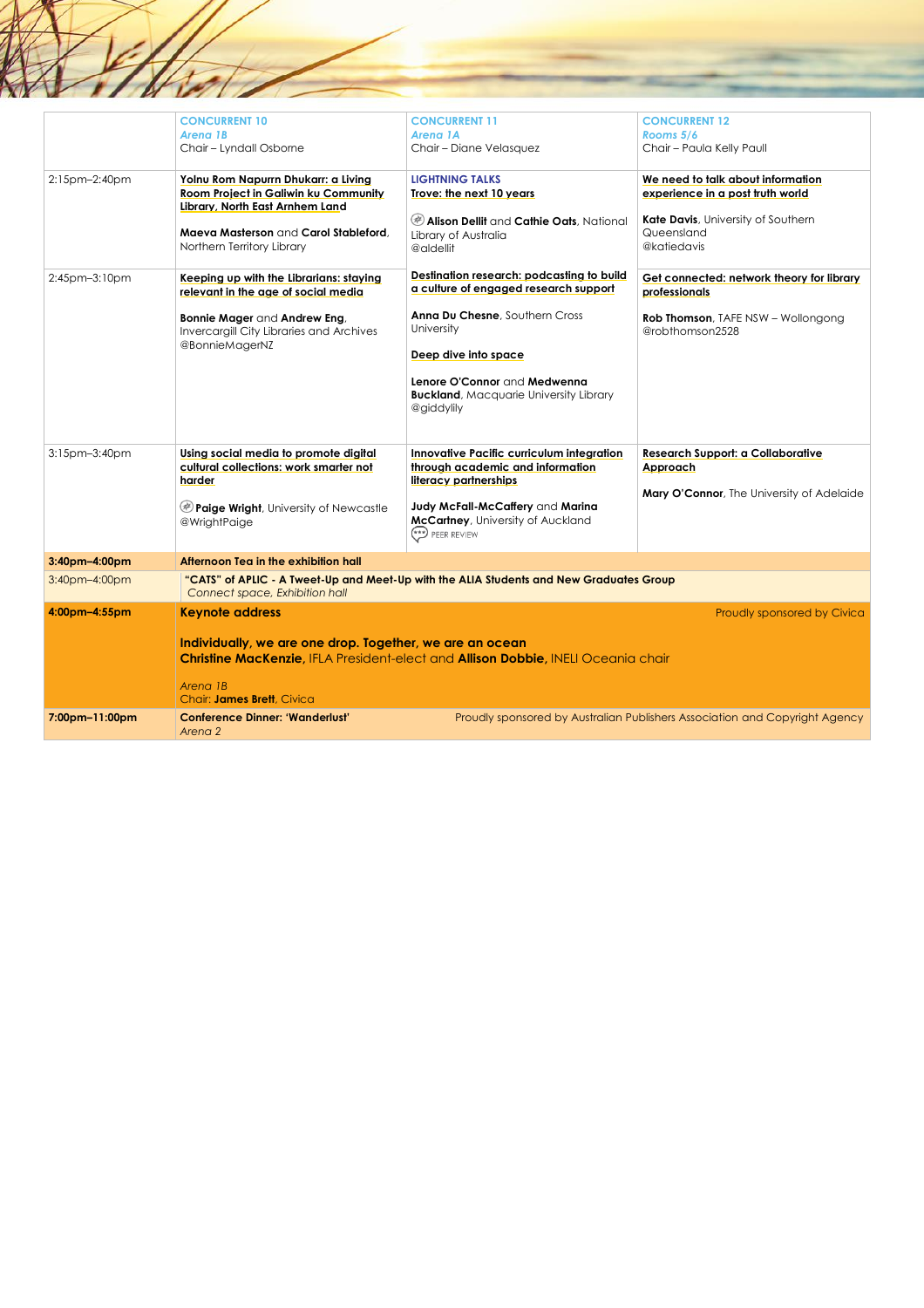|                | <b>CONCURRENT 10</b><br>Arena 1B<br>Chair - Lyndall Osborne                                                                                                                                  | <b>CONCURRENT 11</b><br>Arena 1A<br>Chair - Diane Velasquez                                                                                                                                                                                                | <b>CONCURRENT 12</b><br>Rooms 5/6<br>Chair - Paula Kelly Paull                                                                           |
|----------------|----------------------------------------------------------------------------------------------------------------------------------------------------------------------------------------------|------------------------------------------------------------------------------------------------------------------------------------------------------------------------------------------------------------------------------------------------------------|------------------------------------------------------------------------------------------------------------------------------------------|
| 2:15pm-2:40pm  | Yolnu Rom Napurrn Dhukarr: a Livina<br><b>Room Project in Galiwin ku Community</b><br>Library, North East Arnhem Land<br>Maeva Masterson and Carol Stableford,<br>Northern Territory Library | <b>LIGHTNING TALKS</b><br>Trove: the next 10 years<br>Alison Dellit and Cathie Oats, National<br>Library of Australia<br>@aldellit                                                                                                                         | We need to talk about information<br>experience in a post truth world<br>Kate Davis, University of Southern<br>Queensland<br>@katiedavis |
| 2:45pm-3:10pm  | Keeping up with the Librarians: staying<br>relevant in the age of social media<br>Bonnie Mager and Andrew Eng,<br>Invercargill City Libraries and Archives<br>@BonnieMagerNZ                 | Destination research: podcasting to build<br>a culture of engaged research support<br>Anna Du Chesne, Southern Cross<br>University<br>Deep dive into space<br>Lenore O'Connor and Medwenna<br><b>Buckland</b> , Macquarie University Library<br>@giddylily | Get connected: network theory for library<br>professionals<br><b>Rob Thomson</b> , TAFE NSW - Wollongong<br>@robthomson2528              |
| 3:15pm-3:40pm  | Usina social media to promote diaital<br>cultural collections: work smarter not<br>harder<br><b>Paige Wright</b> , University of Newcastle<br>@WrightPaige                                   | Innovative Pacific curriculum integration<br>through academic and information<br>literacy partnerships<br>Judy McFall-McCaffery and Marina<br>McCartney, University of Auckland<br>PEER REVIEW                                                             | <b>Research Support: a Collaborative</b><br>Approach<br>Mary O'Connor, The University of Adelaide                                        |
| 3:40pm-4:00pm  | Afternoon Tea in the exhibition hall                                                                                                                                                         |                                                                                                                                                                                                                                                            |                                                                                                                                          |
| 3:40pm-4:00pm  | Connect space, Exhibition hall                                                                                                                                                               | "CATS" of APLIC - A Tweet-Up and Meet-Up with the ALIA Students and New Graduates Group                                                                                                                                                                    |                                                                                                                                          |
| 4:00pm-4:55pm  | <b>Keynote address</b><br>Individually, we are one drop. Together, we are an ocean<br>Arena 1B<br>Chair: James Brett, Civica                                                                 | Christine MacKenzie, IFLA President-elect and Allison Dobbie, INELI Oceania chair                                                                                                                                                                          | Proudly sponsored by Civica                                                                                                              |
| 7:00pm-11:00pm | <b>Conference Dinner: 'Wanderlust'</b><br>Arena 2                                                                                                                                            |                                                                                                                                                                                                                                                            | Proudly sponsored by Australian Publishers Association and Copyright Agency                                                              |

 $\frac{1}{4}$ 

 $\chi$ / $\chi$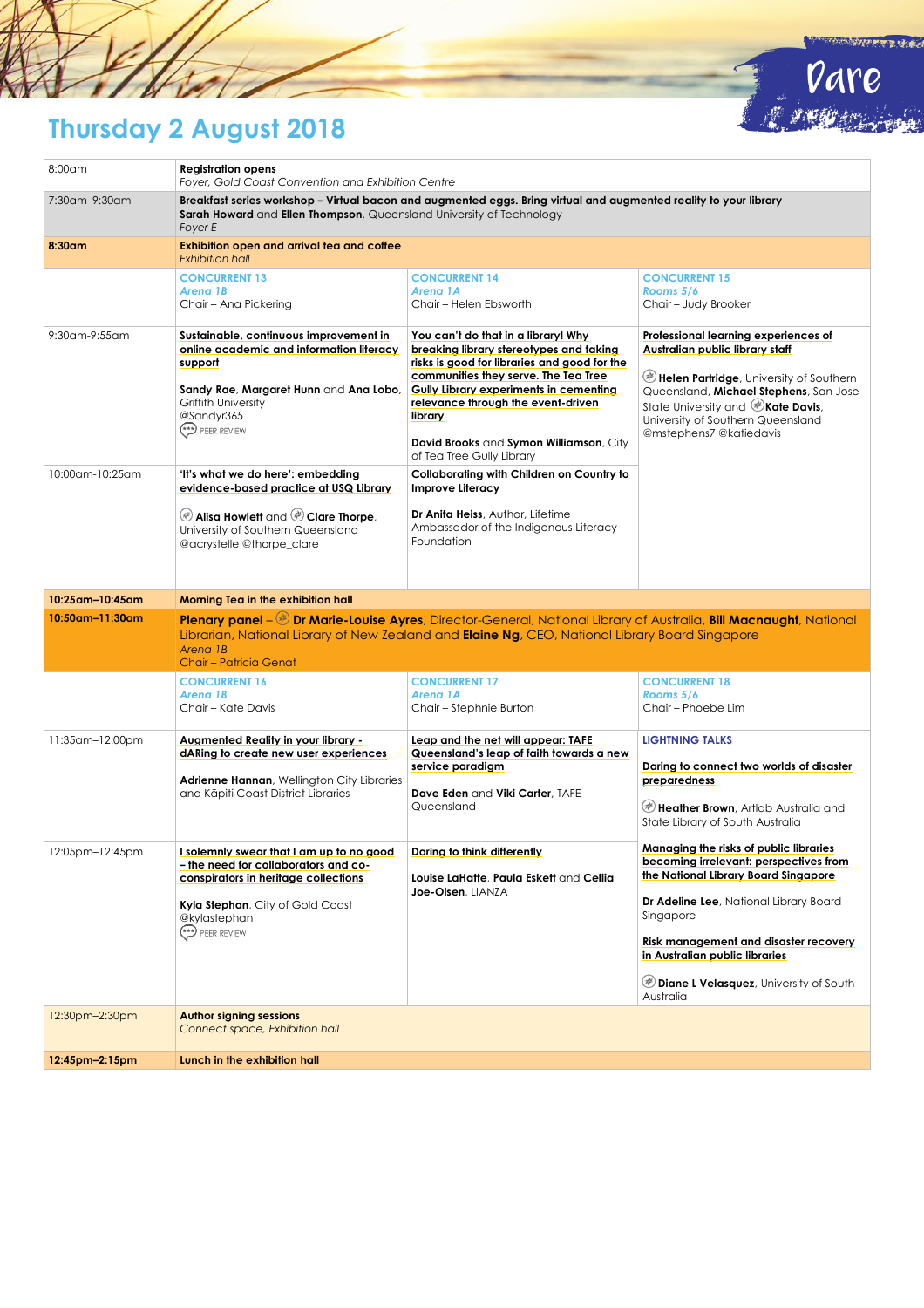

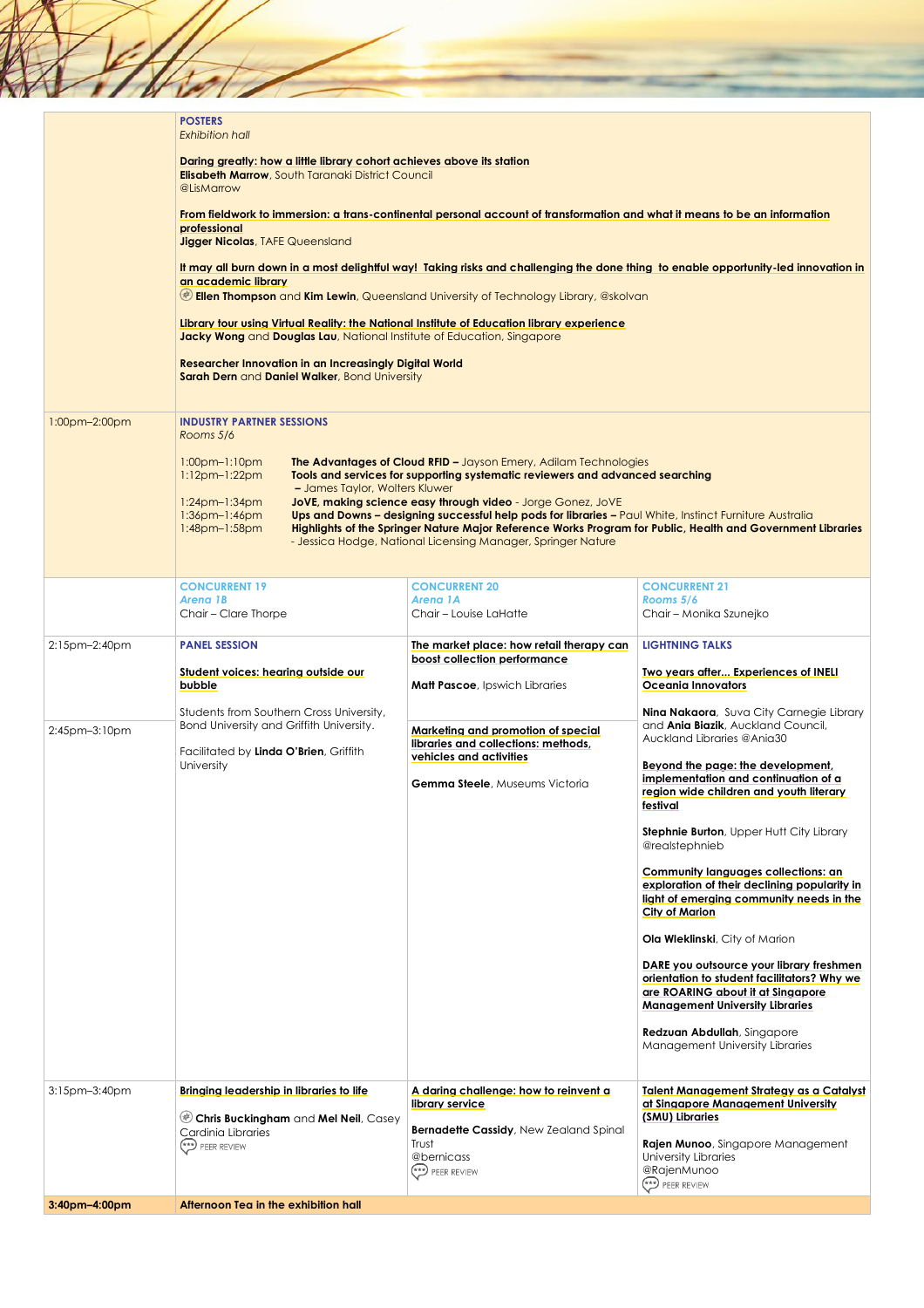|               | <b>POSTERS</b><br><b>Exhibition hall</b>                                                                                                                             |                                                                                                                                                                                                                                                                                                                                                       |                                                                                                                                                                              |
|---------------|----------------------------------------------------------------------------------------------------------------------------------------------------------------------|-------------------------------------------------------------------------------------------------------------------------------------------------------------------------------------------------------------------------------------------------------------------------------------------------------------------------------------------------------|------------------------------------------------------------------------------------------------------------------------------------------------------------------------------|
|               | Daring greatly: how a little library cohort achieves above its station<br><b>Elisabeth Marrow, South Taranaki District Council</b><br>@LisMarrow                     |                                                                                                                                                                                                                                                                                                                                                       |                                                                                                                                                                              |
|               | professional<br><b>Jigger Nicolas, TAFE Queensland</b>                                                                                                               | From fieldwork to immersion: a trans-continental personal account of transformation and what it means to be an information                                                                                                                                                                                                                            |                                                                                                                                                                              |
|               | an academic library                                                                                                                                                  | It may all burn down in a most delightful way! Taking risks and challenging the done thing to enable opportunity-led innovation in<br><b>Ellen Thompson</b> and <b>Kim Lewin</b> , Queensland University of Technology Library, @skolvan                                                                                                              |                                                                                                                                                                              |
|               | Library four using Virtual Reality: the National Institute of Education library experience<br>Jacky Wong and Douglas Lau, National Institute of Education, Singapore |                                                                                                                                                                                                                                                                                                                                                       |                                                                                                                                                                              |
|               | <b>Researcher Innovation in an Increasingly Digital World</b><br>Sarah Dern and Daniel Walker, Bond University                                                       |                                                                                                                                                                                                                                                                                                                                                       |                                                                                                                                                                              |
| 1:00pm-2:00pm | <b>INDUSTRY PARTNER SESSIONS</b><br>Rooms 5/6                                                                                                                        |                                                                                                                                                                                                                                                                                                                                                       |                                                                                                                                                                              |
|               | $1:00$ pm $-1:10$ pm<br>$1:12pm-1:22pm$<br>- James Taylor, Wolters Kluwer                                                                                            | <b>The Advantages of Cloud RFID - Jayson Emery, Adilam Technologies</b><br>Tools and services for supporting systematic reviewers and advanced searching                                                                                                                                                                                              |                                                                                                                                                                              |
|               | $1:24$ pm-1:34pm<br>$1:36$ pm- $1:46$ pm<br>$1:48$ pm- $1:58$ pm                                                                                                     | JoVE, making science easy through video - Jorge Gonez, JoVE<br>Ups and Downs - designing successful help pods for libraries - Paul White, Instinct Furniture Australia<br>Highlights of the Springer Nature Major Reference Works Program for Public, Health and Government Libraries<br>- Jessica Hodge, National Licensing Manager, Springer Nature |                                                                                                                                                                              |
|               |                                                                                                                                                                      |                                                                                                                                                                                                                                                                                                                                                       |                                                                                                                                                                              |
|               | <b>CONCURRENT 19</b><br>Arena 1B<br>Chair - Clare Thorpe                                                                                                             | <b>CONCURRENT 20</b><br>Arena 1A<br>Chair - Louise LaHatte                                                                                                                                                                                                                                                                                            | <b>CONCURRENT 21</b><br>Rooms 5/6<br>Chair - Monika Szunejko                                                                                                                 |
|               |                                                                                                                                                                      |                                                                                                                                                                                                                                                                                                                                                       |                                                                                                                                                                              |
| 2:15pm-2:40pm | <b>PANEL SESSION</b><br>Student voices: hearing outside our                                                                                                          | The market place: how retail therapy can<br>boost collection performance                                                                                                                                                                                                                                                                              | <b>LIGHTNING TALKS</b><br>Two years after Experiences of INELI                                                                                                               |
|               | bubble                                                                                                                                                               | <b>Matt Pascoe, Ipswich Libraries</b>                                                                                                                                                                                                                                                                                                                 | Oceania Innovators                                                                                                                                                           |
|               |                                                                                                                                                                      |                                                                                                                                                                                                                                                                                                                                                       |                                                                                                                                                                              |
| 2:45pm-3:10pm | Students from Southern Cross University,<br>Bond University and Griffith University.                                                                                 | Marketing and promotion of special                                                                                                                                                                                                                                                                                                                    | and <b>Ania Biazik</b> , Auckland Council,<br>Auckland Libraries @Ania30                                                                                                     |
|               | Facilitated by Linda O'Brien, Griffith<br>University                                                                                                                 | libraries and collections: methods,<br>vehicles and activities<br><b>Gemma Steele</b> , Museums Victoria                                                                                                                                                                                                                                              | Nina Nakaora, Suva City Carnegie Library<br>Beyond the page: the development,<br>implementation and continuation of a<br>region wide children and youth literary<br>festival |
|               |                                                                                                                                                                      |                                                                                                                                                                                                                                                                                                                                                       | <b>Stephnie Burton</b> , Upper Hutt City Library<br>@realstephnieb                                                                                                           |
|               |                                                                                                                                                                      |                                                                                                                                                                                                                                                                                                                                                       | Community languages collections: an<br>exploration of their declining popularity in<br>light of emerging community needs in the<br>City of Marion                            |
|               |                                                                                                                                                                      |                                                                                                                                                                                                                                                                                                                                                       | Ola Wleklinski, City of Marion                                                                                                                                               |
|               |                                                                                                                                                                      |                                                                                                                                                                                                                                                                                                                                                       | DARE you outsource your library freshmen<br>orientation to student facilitators? Why we<br>are ROARING about it at Singapore<br><b>Management University Libraries</b>       |
|               |                                                                                                                                                                      |                                                                                                                                                                                                                                                                                                                                                       | Redzuan Abdullah, Singapore<br>Management University Libraries                                                                                                               |
| 3:15pm-3:40pm | Bringing leadership in libraries to life                                                                                                                             | A daring challenge: how to reinvent a                                                                                                                                                                                                                                                                                                                 | <b>Talent Management Strategy as a Catalyst</b>                                                                                                                              |
|               | Chris Buckingham and Mel Neil, Casey                                                                                                                                 | library service                                                                                                                                                                                                                                                                                                                                       | at Singapore Management University<br>(SMU) Libraries                                                                                                                        |
|               | Cardinia Libraries<br>PEER REVIEW                                                                                                                                    | <b>Bernadette Cassidy</b> , New Zealand Spinal<br>Trust<br>@bernicass<br>PEER REVIEW                                                                                                                                                                                                                                                                  | Rajen Munoo, Singapore Management<br>University Libraries<br>@RajenMunoo<br>PEER REVIEW                                                                                      |

ź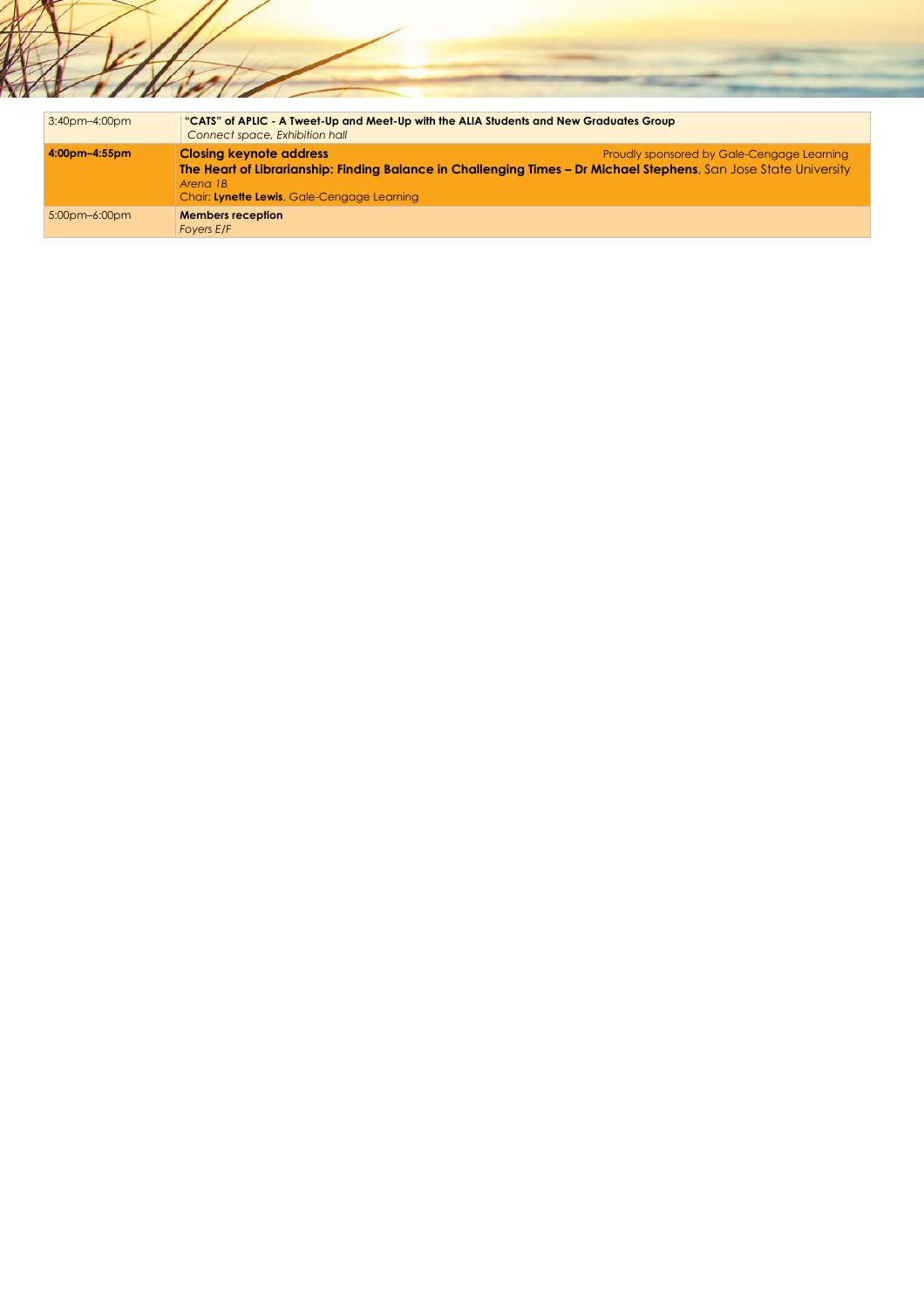| 3:40pm-4:00pm | "CATS" of APLIC - A Tweet-Up and Meet-Up with the ALIA Students and New Graduates Group<br>Connect space, Exhibition hall                                                                                      |                                            |
|---------------|----------------------------------------------------------------------------------------------------------------------------------------------------------------------------------------------------------------|--------------------------------------------|
| 4:00pm-4:55pm | <b>Closing keynote address</b><br>The Heart of Librarianship: Finding Balance in Challenging Times - Dr Michael Stephens, San Jose State University<br>Arena 1B<br>Chair: Lynette Lewis, Gale-Cengage Learning | Proudly sponsored by Gale-Cengage Learning |
| 5:00pm-6:00pm | <b>Members reception</b><br>Foyers E/F                                                                                                                                                                         |                                            |